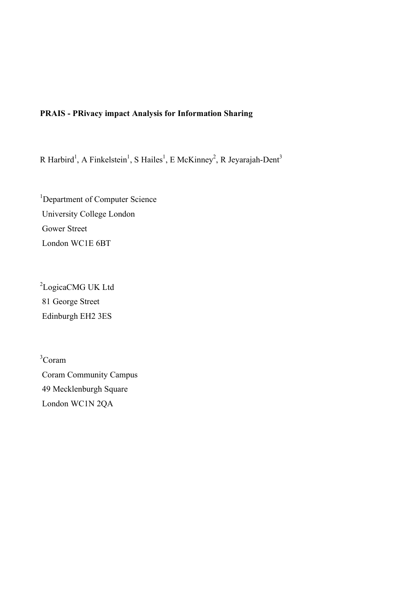# **PRAIS - PRivacy impact Analysis for Information Sharing**

R Harbird<sup>1</sup>, A Finkelstein<sup>1</sup>, S Hailes<sup>1</sup>, E McKinney<sup>2</sup>, R Jeyarajah-Dent<sup>3</sup>

<sup>1</sup>Department of Computer Science University College London Gower Street London WC1E 6BT

<sup>2</sup>LogicaCMG UK Ltd 81 George Street Edinburgh EH2 3ES

3 Coram Coram Community Campus 49 Mecklenburgh Square London WC1N 2QA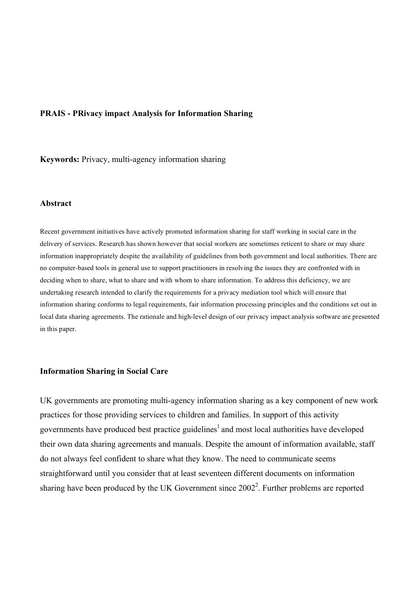### **PRAIS - PRivacy impact Analysis for Information Sharing**

**Keywords:** Privacy, multi-agency information sharing

#### **Abstract**

Recent government initiatives have actively promoted information sharing for staff working in social care in the delivery of services. Research has shown however that social workers are sometimes reticent to share or may share information inappropriately despite the availability of guidelines from both government and local authorities. There are no computer-based tools in general use to support practitioners in resolving the issues they are confronted with in deciding when to share, what to share and with whom to share information. To address this deficiency, we are undertaking research intended to clarify the requirements for a privacy mediation tool which will ensure that information sharing conforms to legal requirements, fair information processing principles and the conditions set out in local data sharing agreements. The rationale and high-level design of our privacy impact analysis software are presented in this paper.

#### **Information Sharing in Social Care**

UK governments are promoting multi-agency information sharing as a key component of new work practices for those providing services to children and families. In support of this activity governments have produced best practice guidelines<sup>1</sup> and most local authorities have developed their own data sharing agreements and manuals. Despite the amount of information available, staff do not always feel confident to share what they know. The need to communicate seems straightforward until you consider that at least seventeen different documents on information sharing have been produced by the UK Government since  $2002<sup>2</sup>$ . Further problems are reported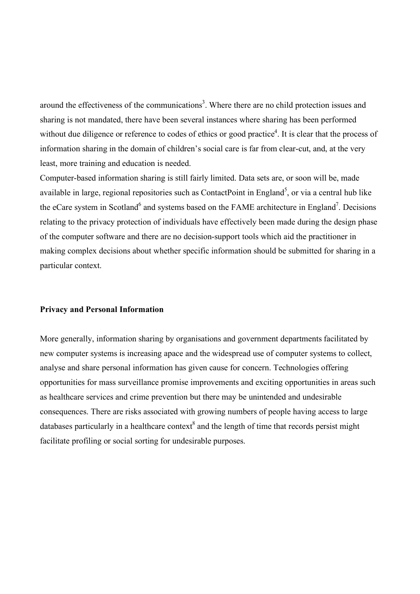around the effectiveness of the communications<sup>3</sup>. Where there are no child protection issues and sharing is not mandated, there have been several instances where sharing has been performed without due diligence or reference to codes of ethics or good practice<sup>4</sup>. It is clear that the process of information sharing in the domain of children's social care is far from clear-cut, and, at the very least, more training and education is needed.

Computer-based information sharing is still fairly limited. Data sets are, or soon will be, made available in large, regional repositories such as ContactPoint in England<sup>5</sup>, or via a central hub like the eCare system in Scotland<sup>6</sup> and systems based on the FAME architecture in England<sup>7</sup>. Decisions relating to the privacy protection of individuals have effectively been made during the design phase of the computer software and there are no decision-support tools which aid the practitioner in making complex decisions about whether specific information should be submitted for sharing in a particular context.

### **Privacy and Personal Information**

More generally, information sharing by organisations and government departments facilitated by new computer systems is increasing apace and the widespread use of computer systems to collect, analyse and share personal information has given cause for concern. Technologies offering opportunities for mass surveillance promise improvements and exciting opportunities in areas such as healthcare services and crime prevention but there may be unintended and undesirable consequences. There are risks associated with growing numbers of people having access to large databases particularly in a healthcare context<sup>8</sup> and the length of time that records persist might facilitate profiling or social sorting for undesirable purposes.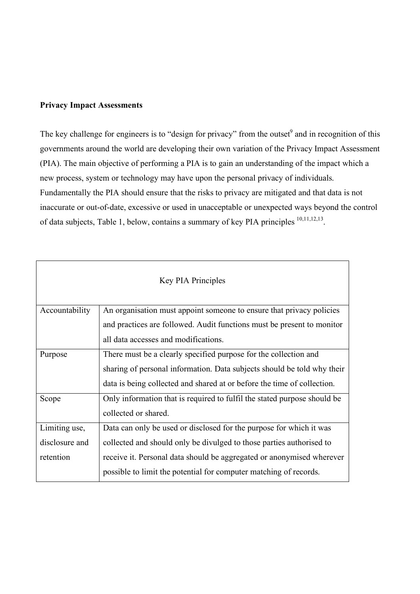# **Privacy Impact Assessments**

The key challenge for engineers is to "design for privacy" from the outset  $\theta$  and in recognition of this governments around the world are developing their own variation of the Privacy Impact Assessment (PIA). The main objective of performing a PIA is to gain an understanding of the impact which a new process, system or technology may have upon the personal privacy of individuals. Fundamentally the PIA should ensure that the risks to privacy are mitigated and that data is not inaccurate or out-of-date, excessive or used in unacceptable or unexpected ways beyond the control of data subjects, Table 1, below, contains a summary of key PIA principles <sup>10,11,12,13</sup>.

| <b>Key PIA Principles</b> |                                                                          |  |
|---------------------------|--------------------------------------------------------------------------|--|
| Accountability            | An organisation must appoint someone to ensure that privacy policies     |  |
|                           | and practices are followed. Audit functions must be present to monitor   |  |
|                           | all data accesses and modifications.                                     |  |
| Purpose                   | There must be a clearly specified purpose for the collection and         |  |
|                           | sharing of personal information. Data subjects should be told why their  |  |
|                           | data is being collected and shared at or before the time of collection.  |  |
| Scope                     | Only information that is required to fulfil the stated purpose should be |  |
|                           | collected or shared.                                                     |  |
| Limiting use,             | Data can only be used or disclosed for the purpose for which it was      |  |
| disclosure and            | collected and should only be divulged to those parties authorised to     |  |
| retention                 | receive it. Personal data should be aggregated or anonymised wherever    |  |
|                           | possible to limit the potential for computer matching of records.        |  |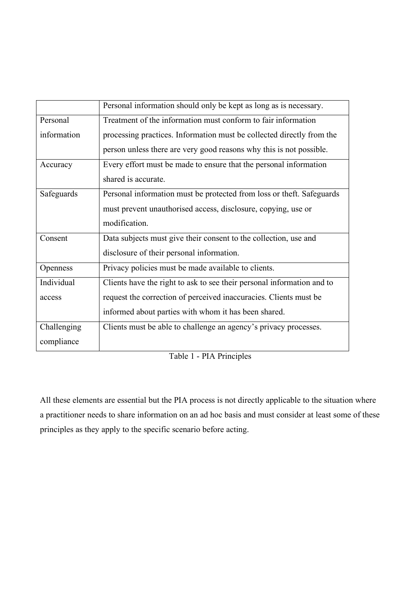|                 | Personal information should only be kept as long as is necessary.      |
|-----------------|------------------------------------------------------------------------|
| Personal        | Treatment of the information must conform to fair information          |
| information     | processing practices. Information must be collected directly from the  |
|                 | person unless there are very good reasons why this is not possible.    |
| Accuracy        | Every effort must be made to ensure that the personal information      |
|                 | shared is accurate.                                                    |
| Safeguards      | Personal information must be protected from loss or theft. Safeguards  |
|                 | must prevent unauthorised access, disclosure, copying, use or          |
|                 | modification.                                                          |
| Consent         | Data subjects must give their consent to the collection, use and       |
|                 | disclosure of their personal information.                              |
| <b>Openness</b> | Privacy policies must be made available to clients.                    |
| Individual      | Clients have the right to ask to see their personal information and to |
| access          | request the correction of perceived inaccuracies. Clients must be      |
|                 | informed about parties with whom it has been shared.                   |
| Challenging     | Clients must be able to challenge an agency's privacy processes.       |
| compliance      |                                                                        |

Table 1 - PIA Principles

All these elements are essential but the PIA process is not directly applicable to the situation where a practitioner needs to share information on an ad hoc basis and must consider at least some of these principles as they apply to the specific scenario before acting.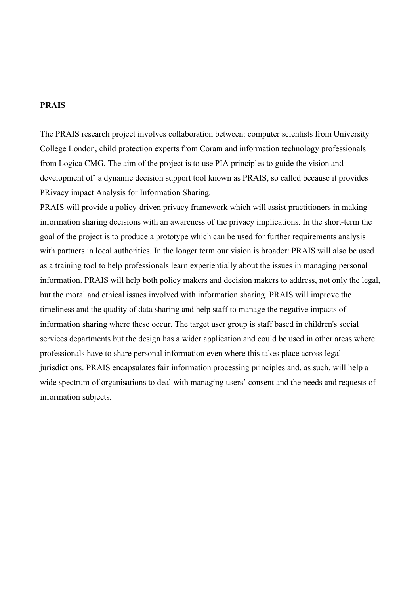### **PRAIS**

The PRAIS research project involves collaboration between: computer scientists from University College London, child protection experts from Coram and information technology professionals from Logica CMG. The aim of the project is to use PIA principles to guide the vision and development of` a dynamic decision support tool known as PRAIS, so called because it provides PRivacy impact Analysis for Information Sharing.

PRAIS will provide a policy-driven privacy framework which will assist practitioners in making information sharing decisions with an awareness of the privacy implications. In the short-term the goal of the project is to produce a prototype which can be used for further requirements analysis with partners in local authorities. In the longer term our vision is broader: PRAIS will also be used as a training tool to help professionals learn experientially about the issues in managing personal information. PRAIS will help both policy makers and decision makers to address, not only the legal, but the moral and ethical issues involved with information sharing. PRAIS will improve the timeliness and the quality of data sharing and help staff to manage the negative impacts of information sharing where these occur. The target user group is staff based in children's social services departments but the design has a wider application and could be used in other areas where professionals have to share personal information even where this takes place across legal jurisdictions. PRAIS encapsulates fair information processing principles and, as such, will help a wide spectrum of organisations to deal with managing users' consent and the needs and requests of information subjects.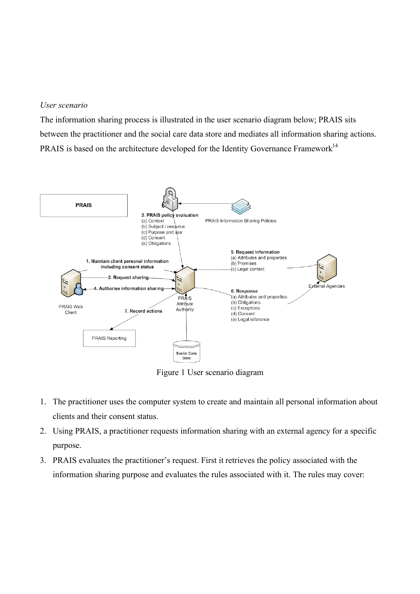### *User scenario*

The information sharing process is illustrated in the user scenario diagram below; PRAIS sits between the practitioner and the social care data store and mediates all information sharing actions. PRAIS is based on the architecture developed for the Identity Governance Framework<sup>14</sup>



Figure 1 User scenario diagram

- 1. The practitioner uses the computer system to create and maintain all personal information about clients and their consent status.
- 2. Using PRAIS, a practitioner requests information sharing with an external agency for a specific purpose.
- 3. PRAIS evaluates the practitioner's request. First it retrieves the policy associated with the information sharing purpose and evaluates the rules associated with it. The rules may cover: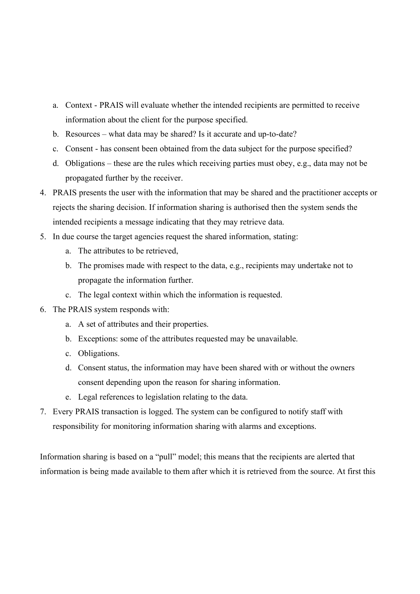- a. Context PRAIS will evaluate whether the intended recipients are permitted to receive information about the client for the purpose specified.
- b. Resources what data may be shared? Is it accurate and up-to-date?
- c. Consent has consent been obtained from the data subject for the purpose specified?
- d. Obligations these are the rules which receiving parties must obey, e.g., data may not be propagated further by the receiver.
- 4. PRAIS presents the user with the information that may be shared and the practitioner accepts or rejects the sharing decision. If information sharing is authorised then the system sends the intended recipients a message indicating that they may retrieve data.
- 5. In due course the target agencies request the shared information, stating:
	- a. The attributes to be retrieved,
	- b. The promises made with respect to the data, e.g., recipients may undertake not to propagate the information further.
	- c. The legal context within which the information is requested.
- 6. The PRAIS system responds with:
	- a. A set of attributes and their properties.
	- b. Exceptions: some of the attributes requested may be unavailable.
	- c. Obligations.
	- d. Consent status, the information may have been shared with or without the owners consent depending upon the reason for sharing information.
	- e. Legal references to legislation relating to the data.
- 7. Every PRAIS transaction is logged. The system can be configured to notify staff with responsibility for monitoring information sharing with alarms and exceptions.

Information sharing is based on a "pull" model; this means that the recipients are alerted that information is being made available to them after which it is retrieved from the source. At first this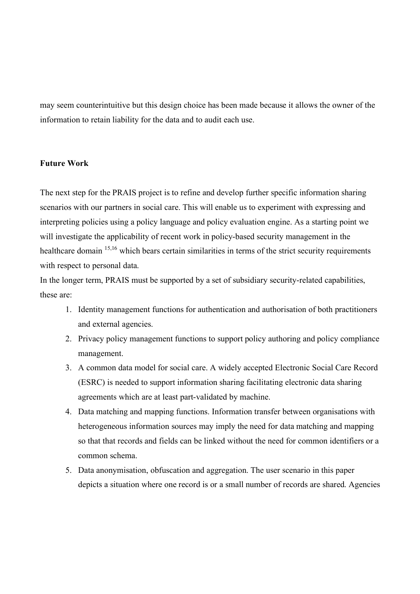may seem counterintuitive but this design choice has been made because it allows the owner of the information to retain liability for the data and to audit each use.

## **Future Work**

The next step for the PRAIS project is to refine and develop further specific information sharing scenarios with our partners in social care. This will enable us to experiment with expressing and interpreting policies using a policy language and policy evaluation engine. As a starting point we will investigate the applicability of recent work in policy-based security management in the healthcare domain <sup>15,16</sup> which bears certain similarities in terms of the strict security requirements with respect to personal data.

In the longer term, PRAIS must be supported by a set of subsidiary security-related capabilities, these are:

- 1. Identity management functions for authentication and authorisation of both practitioners and external agencies.
- 2. Privacy policy management functions to support policy authoring and policy compliance management.
- 3. A common data model for social care. A widely accepted Electronic Social Care Record (ESRC) is needed to support information sharing facilitating electronic data sharing agreements which are at least part-validated by machine.
- 4. Data matching and mapping functions. Information transfer between organisations with heterogeneous information sources may imply the need for data matching and mapping so that that records and fields can be linked without the need for common identifiers or a common schema.
- 5. Data anonymisation, obfuscation and aggregation. The user scenario in this paper depicts a situation where one record is or a small number of records are shared. Agencies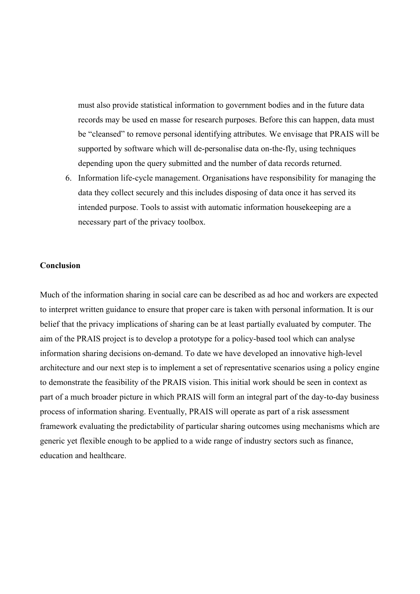must also provide statistical information to government bodies and in the future data records may be used en masse for research purposes. Before this can happen, data must be "cleansed" to remove personal identifying attributes. We envisage that PRAIS will be supported by software which will de-personalise data on-the-fly, using techniques depending upon the query submitted and the number of data records returned.

6. Information life-cycle management. Organisations have responsibility for managing the data they collect securely and this includes disposing of data once it has served its intended purpose. Tools to assist with automatic information housekeeping are a necessary part of the privacy toolbox.

### **Conclusion**

Much of the information sharing in social care can be described as ad hoc and workers are expected to interpret written guidance to ensure that proper care is taken with personal information. It is our belief that the privacy implications of sharing can be at least partially evaluated by computer. The aim of the PRAIS project is to develop a prototype for a policy-based tool which can analyse information sharing decisions on-demand. To date we have developed an innovative high-level architecture and our next step is to implement a set of representative scenarios using a policy engine to demonstrate the feasibility of the PRAIS vision. This initial work should be seen in context as part of a much broader picture in which PRAIS will form an integral part of the day-to-day business process of information sharing. Eventually, PRAIS will operate as part of a risk assessment framework evaluating the predictability of particular sharing outcomes using mechanisms which are generic yet flexible enough to be applied to a wide range of industry sectors such as finance, education and healthcare.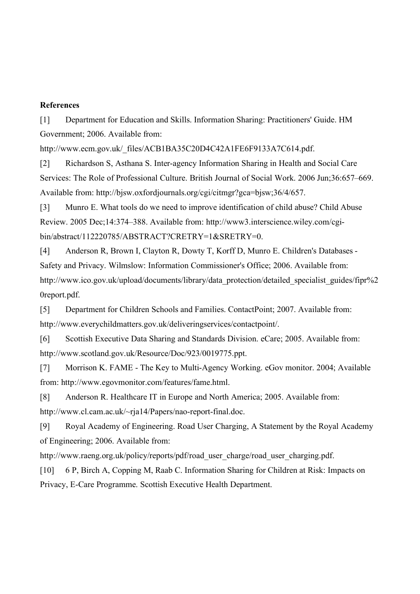# **References**

[1] Department for Education and Skills. Information Sharing: Practitioners' Guide. HM Government; 2006. Available from:

http://www.ecm.gov.uk/\_files/ACB1BA35C20D4C42A1FE6F9133A7C614.pdf.

[2] Richardson S, Asthana S. Inter-agency Information Sharing in Health and Social Care Services: The Role of Professional Culture. British Journal of Social Work. 2006 Jun;36:657–669. Available from: http://bjsw.oxfordjournals.org/cgi/citmgr?gca=bjsw;36/4/657.

[3] Munro E. What tools do we need to improve identification of child abuse? Child Abuse Review. 2005 Dec;14:374–388. Available from: http://www3.interscience.wiley.com/cgibin/abstract/112220785/ABSTRACT?CRETRY=1&SRETRY=0.

[4] Anderson R, Brown I, Clayton R, Dowty T, Korff D, Munro E. Children's Databases - Safety and Privacy. Wilmslow: Information Commissioner's Office; 2006. Available from: http://www.ico.gov.uk/upload/documents/library/data\_protection/detailed\_specialist\_guides/fipr%2 0report.pdf.

[5] Department for Children Schools and Families. ContactPoint; 2007. Available from: http://www.everychildmatters.gov.uk/deliveringservices/contactpoint/.

[6] Scottish Executive Data Sharing and Standards Division. eCare; 2005. Available from: http://www.scotland.gov.uk/Resource/Doc/923/0019775.ppt.

[7] Morrison K. FAME - The Key to Multi-Agency Working. eGov monitor. 2004; Available from: http://www.egovmonitor.com/features/fame.html.

[8] Anderson R. Healthcare IT in Europe and North America; 2005. Available from: http://www.cl.cam.ac.uk/~rja14/Papers/nao-report-final.doc.

[9] Royal Academy of Engineering. Road User Charging, A Statement by the Royal Academy of Engineering; 2006. Available from:

http://www.raeng.org.uk/policy/reports/pdf/road\_user\_charge/road\_user\_charging.pdf.

[10] 6 P, Birch A, Copping M, Raab C. Information Sharing for Children at Risk: Impacts on Privacy, E-Care Programme. Scottish Executive Health Department.